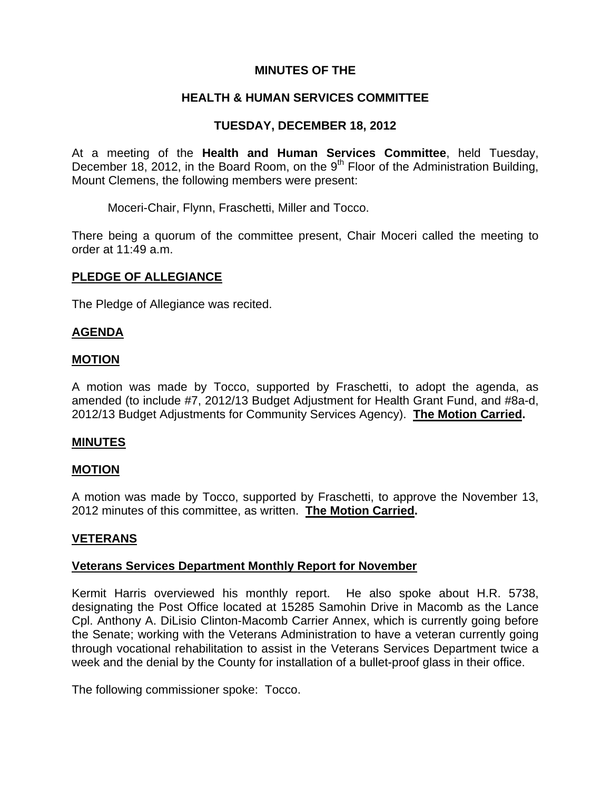## **MINUTES OF THE**

### **HEALTH & HUMAN SERVICES COMMITTEE**

## **TUESDAY, DECEMBER 18, 2012**

At a meeting of the **Health and Human Services Committee**, held Tuesday, December 18, 2012, in the Board Room, on the  $9<sup>th</sup>$  Floor of the Administration Building, Mount Clemens, the following members were present:

Moceri-Chair, Flynn, Fraschetti, Miller and Tocco.

There being a quorum of the committee present, Chair Moceri called the meeting to order at 11:49 a.m.

### **PLEDGE OF ALLEGIANCE**

The Pledge of Allegiance was recited.

### **AGENDA**

#### **MOTION**

A motion was made by Tocco, supported by Fraschetti, to adopt the agenda, as amended (to include #7, 2012/13 Budget Adjustment for Health Grant Fund, and #8a-d, 2012/13 Budget Adjustments for Community Services Agency). **The Motion Carried.** 

#### **MINUTES**

#### **MOTION**

A motion was made by Tocco, supported by Fraschetti, to approve the November 13, 2012 minutes of this committee, as written. **The Motion Carried.** 

#### **VETERANS**

#### **Veterans Services Department Monthly Report for November**

Kermit Harris overviewed his monthly report. He also spoke about H.R. 5738, designating the Post Office located at 15285 Samohin Drive in Macomb as the Lance Cpl. Anthony A. DiLisio Clinton-Macomb Carrier Annex, which is currently going before the Senate; working with the Veterans Administration to have a veteran currently going through vocational rehabilitation to assist in the Veterans Services Department twice a week and the denial by the County for installation of a bullet-proof glass in their office.

The following commissioner spoke: Tocco.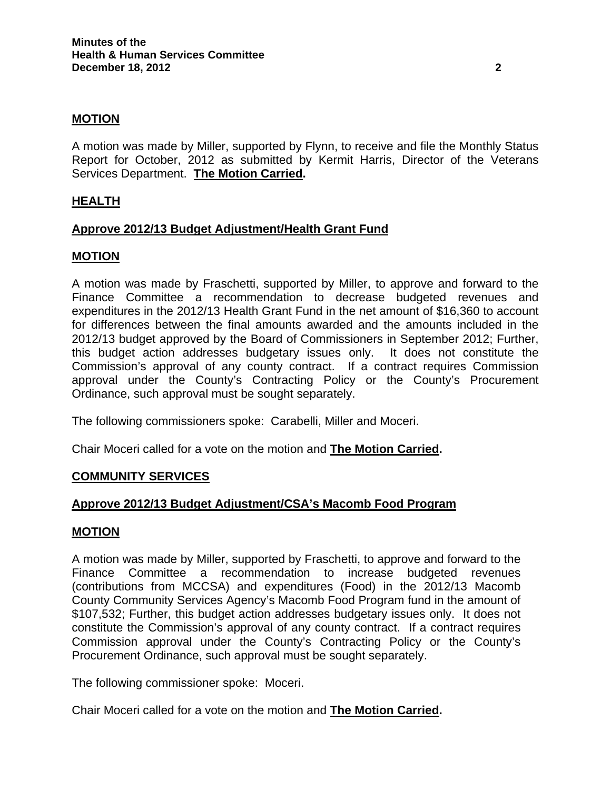### **MOTION**

A motion was made by Miller, supported by Flynn, to receive and file the Monthly Status Report for October, 2012 as submitted by Kermit Harris, Director of the Veterans Services Department. **The Motion Carried.** 

## **HEALTH**

### **Approve 2012/13 Budget Adjustment/Health Grant Fund**

#### **MOTION**

A motion was made by Fraschetti, supported by Miller, to approve and forward to the Finance Committee a recommendation to decrease budgeted revenues and expenditures in the 2012/13 Health Grant Fund in the net amount of \$16,360 to account for differences between the final amounts awarded and the amounts included in the 2012/13 budget approved by the Board of Commissioners in September 2012; Further, this budget action addresses budgetary issues only. It does not constitute the Commission's approval of any county contract. If a contract requires Commission approval under the County's Contracting Policy or the County's Procurement Ordinance, such approval must be sought separately.

The following commissioners spoke: Carabelli, Miller and Moceri.

Chair Moceri called for a vote on the motion and **The Motion Carried.** 

#### **COMMUNITY SERVICES**

## **Approve 2012/13 Budget Adjustment/CSA's Macomb Food Program**

#### **MOTION**

A motion was made by Miller, supported by Fraschetti, to approve and forward to the Finance Committee a recommendation to increase budgeted revenues (contributions from MCCSA) and expenditures (Food) in the 2012/13 Macomb County Community Services Agency's Macomb Food Program fund in the amount of \$107,532; Further, this budget action addresses budgetary issues only. It does not constitute the Commission's approval of any county contract. If a contract requires Commission approval under the County's Contracting Policy or the County's Procurement Ordinance, such approval must be sought separately.

The following commissioner spoke: Moceri.

Chair Moceri called for a vote on the motion and **The Motion Carried.**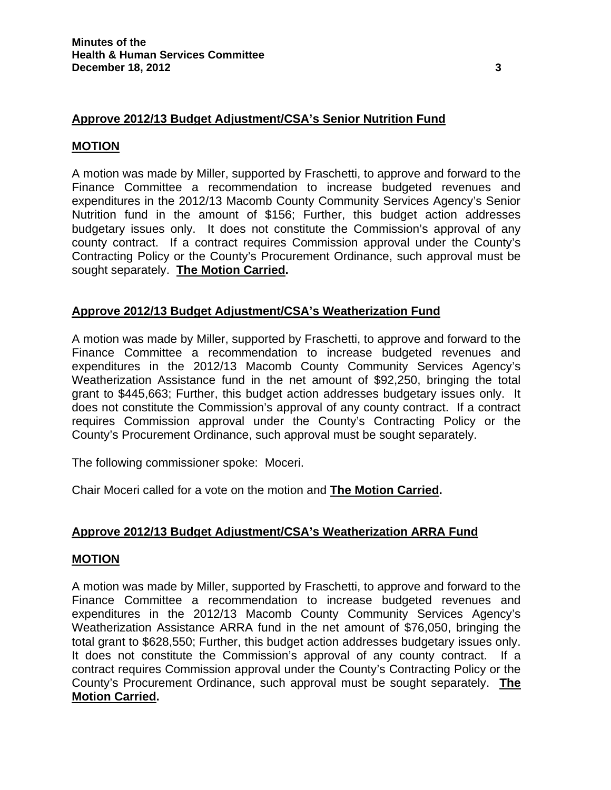# **Approve 2012/13 Budget Adjustment/CSA's Senior Nutrition Fund**

### **MOTION**

A motion was made by Miller, supported by Fraschetti, to approve and forward to the Finance Committee a recommendation to increase budgeted revenues and expenditures in the 2012/13 Macomb County Community Services Agency's Senior Nutrition fund in the amount of \$156; Further, this budget action addresses budgetary issues only. It does not constitute the Commission's approval of any county contract. If a contract requires Commission approval under the County's Contracting Policy or the County's Procurement Ordinance, such approval must be sought separately. **The Motion Carried.** 

### **Approve 2012/13 Budget Adjustment/CSA's Weatherization Fund**

A motion was made by Miller, supported by Fraschetti, to approve and forward to the Finance Committee a recommendation to increase budgeted revenues and expenditures in the 2012/13 Macomb County Community Services Agency's Weatherization Assistance fund in the net amount of \$92,250, bringing the total grant to \$445,663; Further, this budget action addresses budgetary issues only. It does not constitute the Commission's approval of any county contract. If a contract requires Commission approval under the County's Contracting Policy or the County's Procurement Ordinance, such approval must be sought separately.

The following commissioner spoke: Moceri.

Chair Moceri called for a vote on the motion and **The Motion Carried.**

## **Approve 2012/13 Budget Adjustment/CSA's Weatherization ARRA Fund**

#### **MOTION**

A motion was made by Miller, supported by Fraschetti, to approve and forward to the Finance Committee a recommendation to increase budgeted revenues and expenditures in the 2012/13 Macomb County Community Services Agency's Weatherization Assistance ARRA fund in the net amount of \$76,050, bringing the total grant to \$628,550; Further, this budget action addresses budgetary issues only. It does not constitute the Commission's approval of any county contract. If a contract requires Commission approval under the County's Contracting Policy or the County's Procurement Ordinance, such approval must be sought separately. **The Motion Carried.**